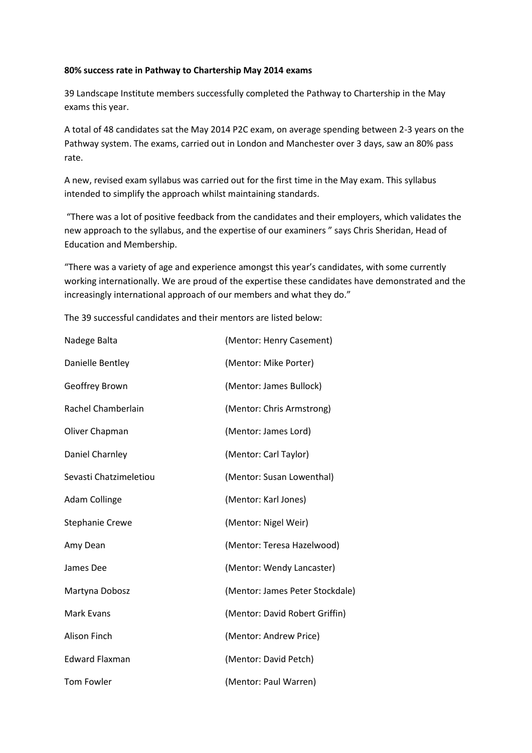## **80% success rate in Pathway to Chartership May 2014 exams**

39 Landscape Institute members successfully completed the Pathway to Chartership in the May exams this year.

A total of 48 candidates sat the May 2014 P2C exam, on average spending between 2-3 years on the Pathway system. The exams, carried out in London and Manchester over 3 days, saw an 80% pass rate.

A new, revised exam syllabus was carried out for the first time in the May exam. This syllabus intended to simplify the approach whilst maintaining standards.

"There was a lot of positive feedback from the candidates and their employers, which validates the new approach to the syllabus, and the expertise of our examiners " says Chris Sheridan, Head of Education and Membership.

"There was a variety of age and experience amongst this year's candidates, with some currently working internationally. We are proud of the expertise these candidates have demonstrated and the increasingly international approach of our members and what they do."

The 39 successful candidates and their mentors are listed below:

| Nadege Balta           | (Mentor: Henry Casement)        |
|------------------------|---------------------------------|
| Danielle Bentley       | (Mentor: Mike Porter)           |
| Geoffrey Brown         | (Mentor: James Bullock)         |
| Rachel Chamberlain     | (Mentor: Chris Armstrong)       |
| Oliver Chapman         | (Mentor: James Lord)            |
| Daniel Charnley        | (Mentor: Carl Taylor)           |
| Sevasti Chatzimeletiou | (Mentor: Susan Lowenthal)       |
| Adam Collinge          | (Mentor: Karl Jones)            |
| <b>Stephanie Crewe</b> | (Mentor: Nigel Weir)            |
| Amy Dean               | (Mentor: Teresa Hazelwood)      |
| James Dee              | (Mentor: Wendy Lancaster)       |
| Martyna Dobosz         | (Mentor: James Peter Stockdale) |
| <b>Mark Evans</b>      | (Mentor: David Robert Griffin)  |
| Alison Finch           | (Mentor: Andrew Price)          |
| <b>Edward Flaxman</b>  | (Mentor: David Petch)           |
| <b>Tom Fowler</b>      | (Mentor: Paul Warren)           |